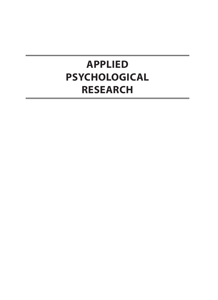# **Applied Psychological Research**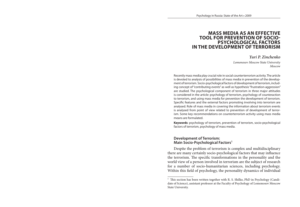## **Mass media as an effective tool for prevention of sociopsychological factors in the development of terrorism**

*Yuri P. Zinchenko*

*Lomonosov Moscow State University Moscow*

Recently mass media play crucial role in social counterterrorism activity. The article is devoted to analysis of possibilities of mass media in prevention of the development of terrorism. Socio-psychological factors of development of terrorism, including concept of "contributing events" as well as hypothesis "frustration-aggression" are studied. The psychological component of terrorism in three major attitudes is considered in the article: psychology of terrorism, psychology of counteraction to terrorism, and using mass media for prevention the development of terrorism. Specific features and the external factors promoting involving into terrorism are analysed. Role of mass media in covering the information about terrorism events is analysed from point of view related to prevention of development of terrorism. Some key recommendations on counterterrorism activity using mass media means are formulated.

**Keywords**: psychology of terrorism, prevention of terrorism, socio-psychological factors of terrorism, psychology of mass media.

## **Development of Terrorism: Main Socio-Psychological Factors1**

Despite the problem of terrorism is complex and multidisciplinary there are many certainly socio-psychological factors that may influence the terrorism. The specific transformations in the personality and the world view of a person involved in terrorism are the subject of research for a number of socio-humanitarian sciences, including psychology. Within this field of psychology, the personality dynamics of individual

 $1$  This section has been written together with R. S. Shilko, PhD in Psychology (Candidate of Science), assistant professor at the Faculty of Psychology of Lomonosov Moscow State University.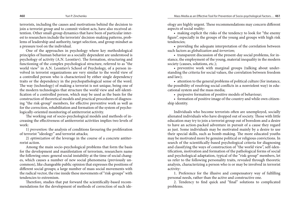terrorists, including the causes and motivations behind the decision to join a terrorist group and to commit violent acts, have also received attention. Other small-group dynamics that have been of particular interest to researchers include the terrorists' decision-making patterns, problems of leadership and authority, target selection, and group mindset as a pressure tool on the individual.

One of the approaches in psychology where key methodological principles of human behavior as a socially dependent are understood is psychology of activity (A.N. Leontiev). The formation, structuring and functioning of the complex psychological structure, referred to as "the world view" in A.N. Leontiev's School of Psychology, of a person involved in terrorist organizations are very similar to the world view of a controlled person who is characterized by either single dependency traits or the dependency in the psychopathological sense of the word. The way (technology) of making a terrorist is not unique, being one of the modern technologies that structure the world view and self-identification of a controlled person, which may be used as the basis for the construction of theoretical models and practical procedures of diagnosing "the risk-group" members, for effective preventive work as well as for the correction, rehabilitation and formation of the system of psychologically-oriented monitoring of antiterrorist activity.

The working out of socio-psychological models and methods of increasing the effectiveness of antiterrorist activities implies two levels of work:

1) *prevention:* the analysis of conditions favouring the proliferation of terrorist "ideology" and terrorist attacks;

2) *optimization* of the leverage in the course of a concrete antiterrorist action.

Among the main socio-psychological problems that form the basis for the development and manifestation of terrorism, researchers name the following ones: general social instability at the time of social changes, which causes a number of new social phenomena (previously uncommon), like changeable public opinion that expresses the positions of different social groups; a large number of mass social movements with the radical vector, the rise inside these movements of "risk-groups" with tendencies to extremism.

Therefore, studies that put forward the scientifically-based recommendations for the development of methods of correction of such ideology are highly urgent. These recommendations may concern different aspects of social reality:

• making explicit the risks of the tendency to look for "the enemy figure", especially in the groups of the young and groups with high risk tendencies;

• providing the adequate interpretation of the correlation between such factors as *globalization* and *terrorism*;

• transparent discussion of the present-day social problems, for instance, the employment of the young, material inequality in the modern society (causes, solutions, etc.);

• preventive work with marginal groups (talking about understanding the criteria for social values, the correlation between freedom and law);

• attention to the general problems of political culture (for instance, the possibility of resolving social conflicts in a nonviolent way) in educational system and the mass media;

• purposive formation of positive models of behaviour;

• formation of positive image of the country and while own citizenship identity.

Individuals who become terrorists often are unemployed, socially alienated individuals who have dropped out of society. Those with little education may try to join a terrorist group out of boredom and a desire to have an action-packed adventure in pursuit of a cause they regard as just. Some individuals may be motivated mainly by a desire to use their special skills, such as bomb-making. The more educated youths may be motivated more by genuine political or religious convictions. In search of the scientifically-based psychological criteria for diagnosing and classifying the ways of construction of "the world view", self-identification, motivation and formation of the pathological forms of social and psychological adaptation, typical of the "risk-group" members, let us refer to the following personality traits, revealed through theoretic analysis, characterizing a person who is or may be involved in terrorist activity:

1. Preference for the illusive and compensatory way of fulfilling personal needs, rather than the active and constructive one.

2. Tendency to find quick and "final" solutions to complicated problems.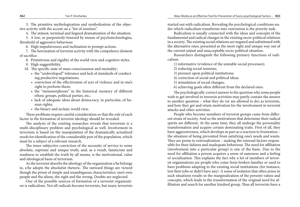3. The primitive mythologization and symbolization of the objective activity with the accent on a "list of enemies".

4. The utmost, terminal and feigned dramatization of the situation.

5. A low, or purposively-lowered by means of psychotechnologies, threshold of aggressive behaviour.

6. High impulsiveness and inclination to prompt actions.

7. The heroization of terrorist activity with the compulsory element of sacrifice.

8. Primitivism and rigidity of the world view and cognitive styles.

9. High suggestibility.

- 10. The specific state of mass consciousness and mentality:
	- the "undeveloped" tolerance and lack of standards of conducting productive negotiations;
	- conviction of the effectiveness of acts of violence and in one's right to perform them;
	- the "metamorphoses" in the historical memory of different ethnic groups, political parties, etc.;
	- lack of adequate ideas about democracy, in particular, of human rights;
	- the binary and archaic world view.

These problems require careful consideration so that the role of each factor in the formation of terrorist ideology should be revealed.

The analysis of the existing researches reveals that terrorism is a multi-disciplinary problem and psychological as well. Involvement in terrorism is based on the manipulation of the dramatically actualized needs for identification of the considerable part of the population, which must be a subject of a relevant research.

The inner subjective conviction of the necessity of service to some absolute, supreme and unique truth, and, as a result, fanaticism and readiness to establish the truth by all means, is the motivational, value and ideological basis of terrorism.

As the terrorist absorbs the ideology of the organization s/he belongs to, s/he adopts the absolutist rhetoric. The outward things are viewed though the prism of simple and unambiguous characteristics: one's own people and the aliens, the right and the wrong. Doubts are neglected.

One of the possible sources of formation of a terrorist organization is radicalism. Not all radicals become terrorists, but many terrorists started out with radicalism. Revealing the psychological conditions under which radicalism transforms into extremism is the priority task.

Radicalism is usually connected with the ideas and concepts of the fundamental and radical changes in the existing socio-political relations in a society. The existing social relations are negated and substituted with the alternative ones, presented as the most right and unique way out of the current unjust and unacceptable socio-political situation.

Researchers distinguish the following primary functions of radicalism:

1) informative (evidence of the unstable social processes);

2) reducing social tensions;

3) pressure upon political institutions;

4) correction of social and political ideas;

5) stimulation of social changes;

6) achieving goals often different from the declared ones.

The psychologically-correct answer to the question why some people wish to get involved in terrorist activities may partly contain the answer to another question – what they do (or are allowed to do) as terrorists, and how they get and retain motivation for the involvement in terrorist attacks and other activities.

People who become members of terrorist groups come from different strata of society. And so the motivations that determine their radical spirits are different. At the same time, they all undergo the personality transformation and acquire certain dominating traits. First of all, they have aggressiveness, which develops in part as a reaction to frustration – the situation of being prevented from satisfying one's needs and wants. They are prone to externalization – making the external factors responsible for their failures and inadequate behaviour. The need for affiliation (involvement into a particular group) is one of the basic. Due to the need for affiliation a person acquires a sense of sameness and a feeling of socialization. This explains the fact why a lot of members of terrorist organizations are people who come from broken families or used to have problems adapting to the existing social institutions (for instance, lost their jobs or didn't have any). A sense of isolation that often arises in such situations results in the marginalization of the person's values and concepts, which leads to the transformation of the original need for affiliation and search for another kindred group. Thus all terrorists have a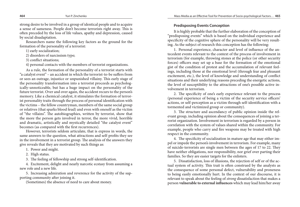strong desire to be involved in a group of identical people and to acquire a sense of sameness. People don't become terrorists right away. This is often preceded by the loss of life values, apathy and depression, caused by social disadaptation.

Researchers name the following key factors as the ground for the formation of the personality of a terrorist:

1) early socialization;

2) disorders of narcissism type;

3) conflict situations;

4) personal contacts with the members of terrorist organizations.

As a rule, the formation of the personality of a terrorist starts with "a catalyst event" – an accident in which the terrorist-to-be suffers from or sees an outrage, injustice or unpunished villainy. This early stage of the personality transformation into a terrorist proceeds as psychologically-unnoticeable, but has a huge impact on the personality of the future terrorist. Over and over again, the accident recurs to the person's memory. Like a chemical catalyst, it stimulates the formation of terrorist personality traits through the process of personal identification with the victims – the fellow countryman, members of the same social group or relatives (that sparks blood feud) and even with oneself as the victim of "the villains". The autobiographies, written by terrorist, show that the more the person gets involved in terror, the more vivid, horrible and dramatic, artistically and mystically detailed "the catalyst event" becomes (as compared with the first recurrences).

However, terrorists seldom articulate, that is express in words, the same answers to the question, what attractions and self-profits they see in the involvement in a terrorist group. The analysis of the answers they give reveals that they are motivated by such things as:

1. Power and might.

2. High status.

3. The feeling of fellowship and strong self-identification.

4. Excitement, delight and nearly narcotic ecstasy from assuming a new role and a new life.

5. Increasing admiration and reverence for the activity of the supporting community after joining it.

(Sometimes) the absence of need to care about money.

## **Predisposing Events Conception**

It is highly probable that the further elaboration of the conception of "predisposing events" which is based on the individual experience and specificity of the cognitive sphere of the personality will be very resulting. As the subject of research this conception has the following:

1. Personal experience, character and level of influence of the antecedent events relevant to the context of the process of involvement in terrorism (for example, throwing stones at the police (or other security forces) officers may set up a base for the formation of the emotional gist of the condition of protest and the accumulation of relevant feelings, including those at the emotional level (through fear and pleasant excitement, etc.), the level of knowledge and understanding of conflict situations and their underlying reasons preceding the energetic actions, the level of susceptibility to the attractions of one's possible active involvement in terrorism.

2. The specificity of one's early experience relevant to the process (personal experience of being a victim of the security service officers' actions, or self-perception as a victim through self-identification with a tormented and victimized group or community).

3. The structure and ascendancy of public opinion inside the relevant group, including opinion about the consequences of joining a terrorist organization. Involvement in terrorism is regarded by a person in correlation with the system of values shared within the community. For example, people who carry and fire weapons may be treated with high respect in the community.

4. The specificity of socialization in mature age that may either impel or impede the person's involvement in terrorism. For example, many of suicide-terrorists are single men between the ages of 17 to 22. They have neither obligations, nor responsibility, nor grief over parting their families. So they are easier targets for the enlisters.

5. Dissatisfaction, loss of illusions, the rejection of self or of the actual system of activity. This trait is often construed by the analysts as the consequence of some personal defect, vulnerability and proneness to being easily emotionally hurt. In the context of our discourse, it is relevant to speak about the feeling of *strong* dissatisfaction that makes a person **vulnerable to external influences** which may lead him/her away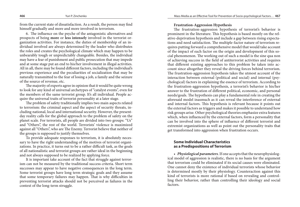from the current state of dissatisfaction. As a result, the person may find himself gradually and more and more involved in terrorism.

6. The influence on the psyche of the antagonistic alternatives and prospects of being **more** or **less intensely** involved in the terrorist organization activities. For instance, the duties of membership of an individual involved are always determined by the leader who distributes the roles and creates the psychological climate which may happen to be unbearably tough or unpredictably changeable. Besides, the individual may have a fear of punishment and public prosecution that may impede and at some stage put an end to his/her involvement in illegal activities. All in all, there may be found different factors, including the individual's previous experience and the peculiarities of socialization that may be naturally transmitted to the fear of losing a job, a family and the seizure of the source of revenue, etc.

The majority of experts agree in opinion that it would be quite wrong to look for any kind of universal archetypes of "catalyst events", even for the members of the same terrorist group. It's all individual. People acquire the universal traits of terrorist personality at a later stage.

The problem of safety traditionally implies two main aspects related to terrorism: the criminal aspect and the aspect of security threats, including national, local and international security. However, the presentday reality calls for the global approach to the problem of safety on the planet scale. For terrorists, all people are divided into two groups: "Us" and "Others", the rest of the world. Terrorists' violence is maximized against all "Others", who are The Enemy. Terrorist believe that neither of the groups is supposed to justify themselves.

To provide adequate responses to terrorism, it is absolutely necessary to have the right understanding of the motives of terrorist organizations. In practice, it turns out to be a rather difficult task, as the goals of all nationalistic and terrorist groups are rather ideal in the beginning and not always supposed to be realized by applying force.

It is important take account of the fact that struggle against terrorism can not be measured by the traditional success criteria. Short term successes may appear to have negative consequences in the long term. Some terrorist groups have long term strategic goals and they assume that some temporary failures may happen. That is why difficulties in preventing terrorist attacks should not be perceived as failures in the context of the long-term struggle.

#### **Frustration-Aggression Hypothesis**

The frustration-aggression hypothesis of terrorist's behavior is prominent in the literature. This hypothesis is based mostly on the relative-deprivation hypothesis and include a gap between rising expectations and need satisfaction. The multiple-factor nature of terrorism requires putting forward a comprehensive model that would take account of the impact of each factor on the origin and development of this social phenomenon. The working out of such a model is the sine qua non of achieving success in the field of antiterrorist activities and requires that different existing approaches to this problem be taken into account since altogether they reveal the driving forces behind terrorism. The frustration-aggression hypothesis takes the utmost account of the interaction between external (political and social) and internal (psychological) factors in explaining the essence of terrorism. According to the frustration-aggression hypothesis, a terrorist's behavior is his/her answer to the frustration of different political, economic, and personal needs/goals. The hypothesis can play a fundamental role in creating the aforesaid model inasmuch as it can reveal the interference of external and internal factors. This hypothesis is relevant because it points out the external factors as triggers and makes it possible to understand how risk groups arise. Other psychological theories emphasize extra features which, when influenced by the external factors, form a personality that can be involved into the sphere of influence of different terrorist and extremist organizations as well as point out the personality traits that get transformed into aggression when frustration occurs.

## **Some Individual Characteristics as a Predispositions of Terrorism**

• *Physiological parameters*. If one accepts that the neurophysiological model of aggression is realistic, there is no basis for the argument that terrorism could be eliminated if its social causes were eliminated. One cannot deny the existence of individual terrorists whose behavior is determined mostly by their physiology. Counteraction against this kind of terrorists is more rational if based on revealing and controlling their behavior, rather than controlling their ideology and social factors.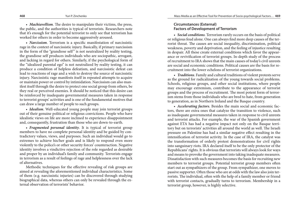• *Machiavellism*. The desire to manipulate their victims, the press, the public, and the authorities is typical of terrorists. Researchers note that it's enough for the potential terrorist to only see that terrorism has worked for others in order to become aggressively aroused.

• *Narcissism*. Terrorism is a specific manifestation of narcissistic rage in the context of narcissistic injury. Basically, if primary narcissism in the form of the "grandiose self" is not neutralized by reality testing, the grandiose self produces individuals who are sociopathic, arrogant, and lacking in regard for others. Similarly, if the psychological form of the "idealized parental ego" is not neutralized by reality testing, it can produce a condition of helpless defeatism, and narcissistic defeat can lead to reactions of rage and a wish to destroy the source of narcissistic injury. Narcissistic rage manifests itself in repeated attempts to acquire or maintain power or control by intimidation. Narcissism can also manifest itself through the desire to protect one social group from others, be they real or perceived enemies. It should be noticed that this desire can be reinforced by inadequate governmental measures taken in response to terrorist groups' activities and is one of the fundamental motives that can draw a large number of people to such groups.

• *Idealism*. Well-educated young people may join terrorist groups out of their genuine political or religious convictions. People who have idealistic views on life are more inclined to experience disappointment and, consequently, frustration than those who are down-to-earth.

• *Fragmented personal identity*. It is typical of terrorist group members to have no complete personal identity and be guided by contradictory values, views, and purposes. Such an individual would go to extremes to achieve his/her goals and is likely to respond even more violently to the police's or other security forces' counteraction. Negative identity involves a vindictive rejection of the role regarded as desirable and proper by an individual's family and community. Terrorists engage in terrorism as a result of feelings of rage and helplessness over the lack of alternatives.

Methodic techniques for the effective revealing of risk groups are aimed at revealing the aforementioned individual characteristics. Some of them (e.g. narcissistic injuries) can be discovered through studying biographical data, whereas others can only be revealed through the external observation of terrorists' behavior.

## **Circumstances (External) Factors of Development of Terrorism**

• *Social conditions*. Terrorism rarely occurs on the basis of political or religious feud alone. One can always find more deep causes of the terrorist threat. The causes are social inequality, discrimination, political weakness, poverty and deprivation, and the feeling of injustice resulting in despair. All these create external conditions which favor the appearance or revivification of terrorist groups. In-depth study of the process of recruitment to IRA shows that the main causes of today's civil unrests are social and economic conditions. Political causes are the basis for recruitment into the lower echelons of terrorist organizations.

• *Traditions*. Family and cultural traditions of violent protests serve as the ground for radicalization of the young towards social problems. Schools, religious groups, and other social institutions, where people may encourage extremism, contribute to the appearance of terrorist groups and the process of recruitment. The most potent form of terrorism stems from those individuals who are bred to hate, from generation to generation, as in Northern Ireland and the Basque country.

• *Accelerating factors*. Besides the main social and economic factors, there are extra ones that catalyze the transition to violence, such as inadequate governmental measures taken in response to civil unrests and terrorist attacks. For example, the war of the Spanish government against ETA has had a negative impact not only on the Basque territory but on terrorists' activities all around the world as well. The Israeli pressure on Palestine has had a similar negative effect resulting in the intensification of terrorist activity. In the case of IRA, the catalyst was the transformation of orderly protest demonstrations for civil rights into sanguinary riots. IRA declared itself to be the only protector of the Republicans' rights. It is obvious that terrorists will always look for ways and means to provoke the government into taking inadequate measures. Dissatisfaction with such measures becomes the basis for recruiting new members to terrorist groups. Potential terrorist group members often start out as sympathizers of the group. From sympathizer, one moves to passive supporter. Often those who are at odds with the law also join terrorists. The individual, often with the help of a family member or friend with terrorist contacts, gradually turns to terrorism. Membership in a terrorist group, however, is highly selective.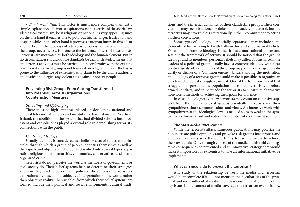• *Fundamentalism*. This factor is much more complex than just a simple explanation of terrorist aspirations as the exercise of the sharia law. Ideological extremism, be it religious or national, is very appealing since on the one hand it enables one to pour out his/her anger, frustration and despair, while on the other hand it promises a utopian future in this life or after it. Even if the ideology of a terrorist group is not based on religion, the group, nevertheless, is prone to the influence of terrorist extremists. Terrorists are motivated by both ideology and the human element. But in no circumstances should double standards be demonstrated. It means that antiterrorist activities must be carried out in conformity with the existing law. Even if a terrorist group is not founded on religion, it, nevertheless, is prone to the influence of extremists who claim to be the divine authority and justify and forgive any violent acts against innocent people.

## **Preventing Risk Groups From Getting Transformed Into Potential Terrorist Organizations: Counteraction Measures**

## *Schooling and Upbringing*

There must be high emphasis placed on developing national and cultural tolerance at schools and institutions. For instance, in Northern Ireland, the abolition of the system that had divided schools into protestant and catholic ones played a crucial role in demolishing terrorists' connections with the public.

### *Control of Ideology*

Usually ideology is considered as a belief or a set of values and principles through which a group of people identifies themselves as well as their goals and objectives. Ideology is classified into several types: separatist, religious, liberal, anarchic, communist, conservative, fascist, and organized crime.

Terrorists do not perceive the world as members of governments or civil society do. Their belief systems help to determine their strategies and how they react to government policies. The actions of terrorist organizations are based on a subjective interpretation of the world rather than objective reality. The variables from which their belief systems are formed include their political and social environments, cultural traditions, and the internal dynamics of their clandestine groups. Their convictions may seem irrational or delusional to society in general, but the terrorists may nevertheless act rationally in their commitment to acting on their convictions.

Some types of ideology – especially separatist – may include some elements of history coupled with half-mythic and supernatural beliefs. What is important to ideology is that it has a motivational power and sets out the framework of activity. It should be noticed that the group's ideology and its members' personal beliefs may differ. For instance, if the leaders of a political group usually have a concrete ideology with clear political goals, other members of the group may join it out of group solidarity or dislike of a "common enemy". Understanding the motivation and ideology of a terrorist group would make it possible to organize an effective ideological struggle against it. One of the top priorities of that struggle is to persuade the population not to help terrorists, to refuse armed conflicts, and to persuade the terrorists to substitute alternative nonviolent methods of achieving their goals for violence.

In case of ideological victory, terrorists may count on extensive support from the population, risk groups essentially. Terrorists and their sympathizers share common values and views. An intensive work with sympathizers at the ideological level is needed so as to weaken the sympathizers' financial aid and reduce the number of recruitment sources.

## *The Mass Media Intervention*

While the terrorist's attack numerous publications may polarize the public, create polar opinions, and provoke risk groups into protest and violence. Terrorists seek the opportunity to use the media to achieve their own goals. Only through control of the media in this field can negative consequences be prevented and an innovative strategy, that would make it impossible for extremists to take an informational initiative, be implemented.

## **What can media do to prevent the terrorism?**

Any study of the relationship between the media and terrorism would be incomplete if it did not mention the peculiarities of the principal and most influential medium of mass communication. One of the key issues in the context of media-coverage the terrorism events is how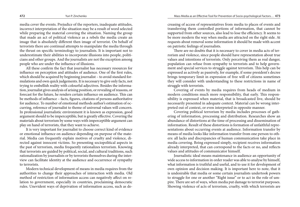media cover the events. Prejudice of the reporters, inadequate attitudes, incorrect interpretation of the situation may be a result of word selected while preparing the material covering the situation. Naming the group that made an act of political violence as a rebels the media create an image that is absolutely different then image of terrorist. On behalf of terrorists there are continual attempts to manipulate the media through the thrust on specific terminology to journalists. It is important not to underestimate their abilities to incorporate illusions into people, politicians and other groups. And the journalists are not the exception among people who are under the influence of illusions.

All these confirm the fact that journalist has necessary resources for influence on perception and attitudes of audience. One of the first rules, which should be acquired by beginning journalist – to avoid standard formulations and own quick judgements. It is necessary to give only facts, not trying to embellish reality with colourful adjectives. Besides the information, journalist gives analysis of arising position, or revealing of reasons, or forecast for the future, he renders certain influence on audience. This can be methods of influence – facts, figures, citations of persons authoritative for audience. To number of emotional methods author's estimation of occurring, reference of journalist to theme of universal values will concern. In professional journalistic environment it is known as expression, good argument should to be imperceptible, but is greatly effective. Covering the materials about terrorism by some ways with imperceptible argument can play on hand of terrorists, that they want to achieve.

It is very important for journalist to choose correct kind of evidence or emotional influence on audience depending on purpose of the material. Media can frequently explain motives of cruelty and violence, directed against innocent victims. So presenting sociopolitical aspects in the past of terrorism, media frequently rationalizes terrorism. Knowing that terrorists are guided by political, social, and cultural traditions, such rationalization by journalists or by terrorists themselves during the interview can facilitate identity at the audience and occurrence of sympathy to terrorists.

Modern technical development of means in media requires from the authorities to change their approaches of interaction with media. Old method of restriction of information access can negatively affect on relation to government, especially in countries, proclaiming democratic rules. Unevident ways of deprivation of information access, such as decreasing of access of representatives from media to places of events and transferring them controlled portions of information, that cannot be supported from other sources, also lead to lose the efficiency. It seems to be more modern the way when media are attracted on the right side. At requests about removal some information it should be made with accent on patriotic feelings of journalists.

There are no doubts that it is necessary to cover in media acts of terrorism and violence, since people should have representation about true values and intentions of terrorists. Only perceiving them as real danger, population can refuse from sympathy to terrorists and to help government and special services to struggle against terrorism. This help can be expressed as actively as passively, for example, if some president's decree brings temporary limit in expression of free will of citizens sometimes they will consider with understanding to these restrictions in name of struggle with terrorists.

Covering of events by media requires from heads of medium in modern conditions much more responsibility, that early. This responsibility is expressed when material, that is broadcasted live, should be necessarily presented in adequate context. Material can be wrong interpreted out of context, or even interpreted in opposite manner.

Covering political terrorism by media includes processes of gathering of information, processing and distribution. Researches show an abundance of distortions at the time of processing and dissemination of information. Result of these distortions is formation of unfaithful representations about occurring events at audience. Information transfer by means of media looks like information transfer from one person to others: all lacks and discrepancies of human communication take place in media covering. Being expressed simply, recipient receives information already interpreted, that can correspond to the facts or no, and reflects values and attitudes of communicator himself.

Journalistic ideal means maintenance in audience an opportunity of wide access to information in order reader was able to analyse by himself, what information is truthful and useful, and to use it for development of own opinion and decision making. It is important here to note, that it is undesirable that media or some certain journalists undertook powers to struggle for one or another "Right issue" or to act in the role of umpire. There are set of ways, when media put damage to terrorist purposes. Showing violence of acts of terrorism, cruelty, with which terrorists are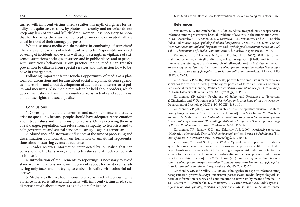turned with innocent victims, media scatter this myth of fighters for validity. It is quite easy to show by photos this cruelty, and terrorists do not keep any laws of war and kill children, women. It is necessary to show that for terrorists there are not concept of innocent or neutral; all are equal in front of their damage purposes.

What else mass media can do positive in combating of terrorism? There are set of variants of whole positive effects. Responsible and exact covering of incidents and events will help to strengthen vigilance of citizens to suspicious packages on streets and in public places and to people with suspicious behaviour. From practical point, media can transfer prevention to citizens from special services and instruction how to behave in emergencies.

Following important factor touches opportunity of media as a platform for discussions and forums about social and politicals consequences of terrorism and about development of adequate counterterrorist policy and measures. Also, media reminds to be held about borders, which government should have in the counterterrorist activity and about laws, about base rights and social justice.

#### **Conclusions**

1. Covering in media the terrorism and acts of violence and cruelty arise no questions, because people should have adequate representation about true values and intentions of terrorists. Only perceiving them as a real danger, population can refuse from sympathy to terrorists and to help government and special services to struggle against terrorism.

2. Abundance of distortions influences at the time of processing and dissemination of information on formation of unfaithful representations about occurring events at audience.

3. Reader receives information interpreted by journalist, that can correspond to the facts or no, and reflects values and attitudes of journalist himself.

4. Introduction of requirements to reportings is necessary to avoid standard formulations and own judgements about terrorist events, adhering only facts and not trying to embellish reality with colourful adiectives.

5. Media are effective tool in counterterrorism activity. Showing the violence in terrorist attacks and cruelty with innocent victims media can disperse a myth about terrorists as a fighters for justice.

#### **References**

Vartanova, E.L., and Zinchenko, Y.P. (2008). Aktual'nye problemy bezopasnosti v informacionnom prostranstve [Actual Problems of Security in the Information Area]. In Y.N. Zasursky, Y.P. Zinchenko, L.V. Matveeva, E.L. Vartanova, and A.I. Podolsky (eds.). *Informacionnaya i psihologicheskaya bezopasnost' v SMI: V 2‑h t. T. II: Fenomen "razorvannoi kommunikacii" [Informative and Psychological Security in Media: In 2 vol. Vol. II: Phenomenon of «broken communication»]*. Moskva: Aspect Press. P. 9-15.

Vartanova, E.L., Tkacheva, N.B., and Pronina, E.E. (2007). SMI i terrorizm: vzaimootnosheniya, strategii antiterrora, rol' samoregulyacii **[**Media and terrorism: interrelations, strategies of anti-terror, role of self-regulation]. In V.V. Yaschenko (ed.). *Sovremennyj terrorizm i bor'ba s nim: social'no-gumanitarnye izmereniya [Contempo‑ rary terrorism and struggle against it: socio-humanitarian dimensions]*. Moskva: MC-NMO. P. 53-74.

Zinchenko, Y.P. (2007). Psihologicheskij portret terrorizma: istoki terrorizma kak social'noi formy identichnosti [Psychological portrait of terrorism: sources of terrorism as social form of identity]. *Vestnik Moskovskogo universiteta. Seriya 14: Psihologiya [Moscow University Bulletin. Series: 14. Psychology]*, 4. P. 3-7.

Zinchenko, Y.P. (2008). Psychology of Safety and Resistance to Terrorism. Y. Zinchenko, and V. Petrenko (eds.). *Psychology in Russia: State of the Art*. Moscow: Department of Psychology MSU & IG-SOCIN. P. 81-101.

Zinchenko, Y.P. (2008). Sovremennyi obraz Rossii: perspektivy razvitiya [Contemporary Image of Russia: Perspectives of Development]. In A.V. Ochirova, Y.P. Zinchenko, and L.V. Matveeva (eds.). *Materialy Vserossiiskoj konferencii "Sovremennyj obraz Rossii: problemy i resheniya" [Proceedings all-Russian Conference "Contemporary Image of Russia: Problems and Decisions"]*. Moskva: MGU. P. 6-16.

Zinchenko, Y.P., Surnov, K.G., and Thkostov, A.S. (2007). Motivaciya terrorista [Motivation of terrorist]. *Vestnik Moskovskogo universiteta. Seriya 14: Psihologiya [Bul‑ letin of Moscow University. Series 14. Psychology]*, 2. P. 20-34.

Zinchenko, Y.P., and Shilko, R.S. (2007). Vy`yavlenie grupp riska, predstavlyayusshih resursy razvitiya terrorizma, i obosnovanie principov antiterroristicheskoj deyatel'nosti na etom napravlenii [Uncovering groups of risk, who are potential resources for terrorism development, and substantiation the principles of counterterrorist activity in this direction]. In V.V. Yaschenko (ed.). *Sovremennyj terrorizm i bor'ba s nim: social'no-gumanitarnye izmereniya [Contemporary terrorism and struggle against it: socio-humanitarian dimensions]*. Moskva: MCNMO. P. 35-52.

Zinchenko, Y.P., and Shilko, R.S. (2008). Psihologicheskie aspekty informacionnoj bezopasnosti i protivodeistviya terrorizmu posredstvom media [Psychological aspects of information security and counteraction to terrorism by means of media]. In Y.N. Zasursky, Y.P. Zinchenko, L.V. Matveeva, E.L. Vartanova, and A.I. Podolsky (eds.). *Informacionnaya i psihologicheskaya bezopasnost' v SMI: V 2‑h t. T. II: Fenomen "razor‑*